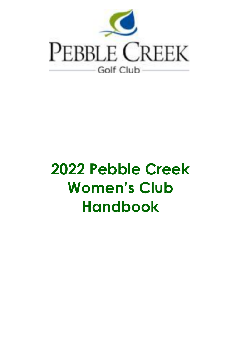

# **2022 Pebble Creek Women's Club Handbook**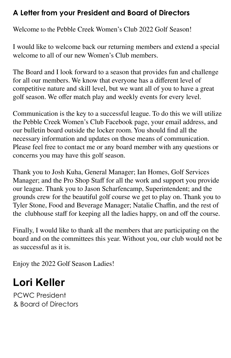# **A Letter from your President and Board of Directors**

Welcome to the Pebble Creek Women's Club 2022 Golf Season!

I would like to welcome back our returning members and extend a special welcome to all of our new Women's Club members.

The Board and I look forward to a season that provides fun and challenge for all our members. We know that everyone has a different level of competitive nature and skill level, but we want all of you to have a great golf season. We offer match play and weekly events for every level.

Communication is the key to a successful league. To do this we will utilize the Pebble Creek Women's Club Facebook page, your email address, and our bulletin board outside the locker room. You should find all the necessary information and updates on those means of communication. Please feel free to contact me or any board member with any questions or concerns you may have this golf season.

Thank you to Josh Kuha, General Manager; Ian Homes, Golf Services Manager; and the Pro Shop Staff for all the work and support you provide our league. Thank you to Jason Scharfencamp, Superintendent; and the grounds crew for the beautiful golf course we get to play on. Thank you to Tyler Stone, Food and Beverage Manager; Natalie Chaffin, and the rest of the clubhouse staff for keeping all the ladies happy, on and off the course.

Finally, I would like to thank all the members that are participating on the board and on the committees this year. Without you, our club would not be as successful as it is.

Enjoy the 2022 Golf Season Ladies!

# **Lori Keller**

PCWC President & Board of Directors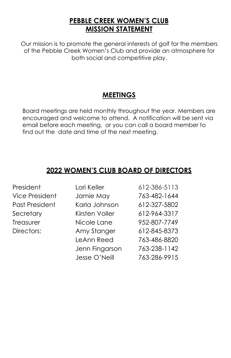#### **PEBBLE CREEK WOMEN'S CLUB MISSION STATEMENT**

Our mission is to promote the general interests of golf for the members of the Pebble Creek Women's Club and provide an atmosphere for both social and competitive play.

# **MEETINGS**

Board meetings are held monthly throughout the year. Members are encouraged and welcome to attend. A notification will be sent via email before each meeting, or you can call a board member to find out the date and time of the next meeting.

# **2022 WOMEN'S CLUB BOARD OF DIRECTORS**

| President             | Lori Keller    | 612-386-5113 |
|-----------------------|----------------|--------------|
| <b>Vice President</b> | Jamie May      | 763-482-1644 |
| Past President        | Karla Johnson  | 612-327-5802 |
| Secretary             | Kirsten Voller | 612-964-3317 |
| Treasurer             | Nicole Lane    | 952-807-7749 |
| Directors:            | Amy Stanger    | 612-845-8373 |
|                       | LeAnn Reed     | 763-486-8820 |
|                       | Jenn Fingarson | 763-238-1142 |
|                       | Jesse O'Neill  | 763-286-9915 |
|                       |                |              |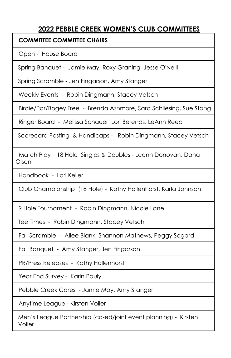#### **2022 PEBBLE CREEK WOMEN'S CLUB COMMITTEES**

#### **COMMITTEE COMMITTEE CHAIRS**

Open - House Board

Spring Banquet - Jamie May, Roxy Graning, Jesse O'Neill

Spring Scramble - Jen Fingarson, Amy Stanger

Weekly Events - Robin Dingmann, Stacey Vetsch

Birdie/Par/Bogey Tree - Brenda Ashmore, Sara Schliesing, Sue Stang

Ringer Board - Melissa Schauer, Lori Berends, LeAnn Reed

Scorecard Posting & Handicaps - Robin Dingmann, Stacey Vetsch

Match Play – 18 Hole Singles & Doubles - Leann Donovan, Dana Olsen

Handbook - Lori Keller

Club Championship (18 Hole) - Kathy Hollenhorst, Karla Johnson

9 Hole Tournament - Robin Dingmann, Nicole Lane

Tee Times - Robin Dingmann, Stacey Vetsch

Fall Scramble - Allee Blank, Shannon Mathews, Peggy Sogard

Fall Banquet - Amy Stanger, Jen Fingarson

PR/Press Releases - Kathy Hollenhorst

Year End Survey - Karin Pauly

Pebble Creek Cares - Jamie May, Amy Stanger

Anytime League - Kirsten Voller

Men's League Partnership (co-ed/joint event planning) - Kirsten Voller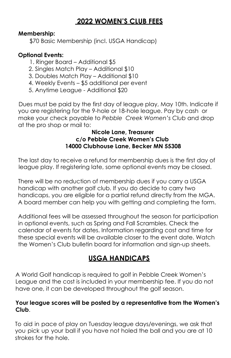### **2022 WOMEN'S CLUB FEES**

#### **Membership:**

\$70 Basic Membership (incl. USGA Handicap)

#### **Optional Events:**

- 1. Ringer Board Additional \$5
- 2. Singles Match Play Additional \$10
- 3. Doubles Match Play Additional \$10
- 4. Weekly Events \$5 additional per event
- 5. Anytime League Additional \$20

Dues must be paid by the first day of league play, May 10th. Indicate if you are registering for the 9-hole or 18-hole league. Pay by cash or make your check payable to *Pebble Creek Women's Club* and drop at the pro shop or mail to:

#### **Nicole Lane, Treasurer c/o Pebble Creek Women's Club 14000 Clubhouse Lane, Becker MN 55308**

The last day to receive a refund for membership dues is the first day of league play. If registering late, some optional events may be closed.

There will be no reduction of membership dues if you carry a USGA handicap with another golf club. If you do decide to carry two handicaps, you are eligible for a partial refund directly from the MGA. A board member can help you with getting and completing the form.

Additional fees will be assessed throughout the season for participation in optional events, such as Spring and Fall Scrambles. Check the calendar of events for dates. Information regarding cost and time for these special events will be available closer to the event date. Watch the Women's Club bulletin board for information and sign-up sheets.

### **USGA HANDICAPS**

A World Golf handicap is required to golf in Pebble Creek Women's League and the cost is included in your membership fee. If you do not have one, it can be developed throughout the golf season.

#### **Your league scores will be posted by a representative from the Women's Club**.

To aid in pace of play on Tuesday league days/evenings, we ask that you pick up your ball if you have not holed the ball and you are at 10 strokes for the hole.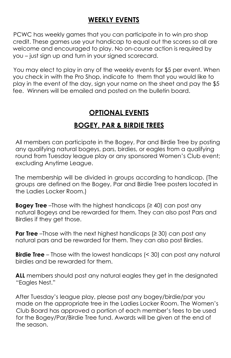### **WEEKLY EVENTS**

PCWC has weekly games that you can participate in to win pro shop credit. These games use your handicap to equal out the scores so all are welcome and encouraged to play. No on-course action is required by you – just sign up and turn in your signed scorecard.

You may elect to play in any of the weekly events for \$5 per event. When you check in with the Pro Shop, indicate to them that you would like to play in the event of the day, sign your name on the sheet and pay the \$5 fee. Winners will be emailed and posted on the bulletin board.

# **OPTIONAL EVENTS**

# **BOGEY, PAR & BIRDIE TREES**

All members can participate in the Bogey, Par and Birdie Tree by posting any qualifying natural bogeys, pars, birdies, or eagles from a qualifying round from Tuesday league play or any sponsored Women's Club event; excluding Anytime League.

The membership will be divided in groups according to handicap. (The groups are defined on the Bogey, Par and Birdie Tree posters located in the Ladies Locker Room.)

**Bogey Tree** –Those with the highest handicaps (≥ 40) can post any natural Bogeys and be rewarded for them. They can also post Pars and Birdies if they get those.

**Par Tree** –Those with the next highest handicaps (≥ 30) can post any natural pars and be rewarded for them. They can also post Birdies.

**Birdie Tree** – Those with the lowest handicaps (< 30) can post any natural birdies and be rewarded for them.

**ALL** members should post any natural eagles they get in the designated "Eagles Nest."

After Tuesday's league play, please post any bogey/birdie/par you made on the appropriate tree in the Ladies Locker Room. The Women's Club Board has approved a portion of each member's fees to be used for the Bogey/Par/Birdie Tree fund. Awards will be given at the end of the season.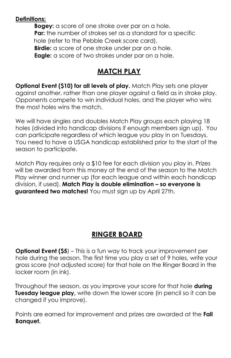#### **Definitions:**

**Bogey:** a score of one stroke over par on a hole. **Par:** the number of strokes set as a standard for a specific hole (refer to the Pebble Creek score card). **Birdie:** a score of one stroke under par on a hole. **Eagle:** a score of two strokes under par on a hole.

### **MATCH PLAY**

**Optional Event (\$10) for all levels of play.** Match Play sets one player against another, rather than one player against a field as in stroke play. Opponents compete to win individual holes, and the player who wins the most holes wins the match.

We will have singles and doubles Match Play groups each playing 18 holes (divided into handicap divisions if enough members sign up). You can participate regardless of which league you play in on Tuesdays. You need to have a USGA handicap established prior to the start of the season to participate.

Match Play requires only a \$10 fee for each division you play in. Prizes will be awarded from this money at the end of the season to the Match Play winner and runner up (for each league and within each handicap division, if used). **Match Play is double elimination – so everyone is guaranteed two matches!** You must sign up by April 27th.

### **RINGER BOARD**

**Optional Event (\$5**) – This is a fun way to track your improvement per hole during the season. The first time you play a set of 9 holes, write your gross score (not adjusted score) for that hole on the Ringer Board in the locker room (in ink).

Throughout the season, as you improve your score for that hole **during Tuesday league play,** write down the lower score (in pencil so it can be changed if you improve).

Points are earned for improvement and prizes are awarded at the **Fall Banquet.**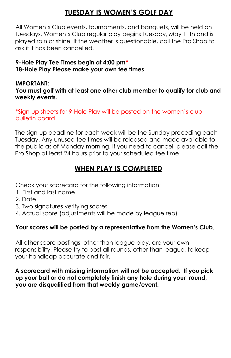# **TUESDAY IS WOMEN'S GOLF DAY**

All Women's Club events, tournaments, and banquets, will be held on Tuesdays. Women's Club regular play begins Tuesday, May 11th and is played rain or shine. If the weather is questionable, call the Pro Shop to ask if it has been cancelled.

#### **9-Hole Play Tee Times begin at 4:00 pm\* 18-Hole Play Please make your own tee times**

#### **IMPORTANT:**

**You must golf with at least one other club member to qualify for club and weekly events.**

\*Sign-up sheets for 9-Hole Play will be posted on the women's club bulletin board.

The sign-up deadline for each week will be the Sunday preceding each Tuesday. Any unused tee times will be released and made available to the public as of Monday morning. If you need to cancel, please call the Pro Shop at least 24 hours prior to your scheduled tee time.

# **WHEN PLAY IS COMPLETED**

Check your scorecard for the following information:

- 1. First and last name
- 2. Date
- 3. Two signatures verifying scores
- 4. Actual score (adjustments will be made by league rep)

#### **Your scores will be posted by a representative from the Women's Club**.

All other score postings, other than league play, are your own responsibility. Please try to post all rounds, other than league, to keep your handicap accurate and fair.

**A scorecard with missing information will not be accepted. If you pick up your ball or do not completely finish any hole during your round, you are disqualified from that weekly game/event.**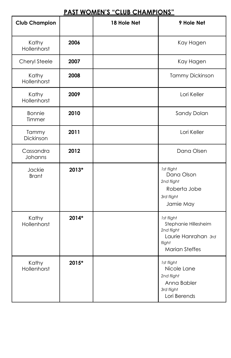#### **PAST WOMEN'S "CLUB CHAMPIONS"**

| <b>Club Champion</b>    |       | 18 Hole Net | 9 Hole Net                                                                                                 |
|-------------------------|-------|-------------|------------------------------------------------------------------------------------------------------------|
| Kathy<br>Hollenhorst    | 2006  |             | Kay Hagen                                                                                                  |
| Cheryl Steele           | 2007  |             | Kay Hagen                                                                                                  |
| Kathy<br>Hollenhorst    | 2008  |             | <b>Tammy Dickinson</b>                                                                                     |
| Kathy<br>Hollenhorst    | 2009  |             | Lori Keller                                                                                                |
| <b>Bonnie</b><br>Timmer | 2010  |             | Sandy Dolan                                                                                                |
| Tammy<br>Dickinson      | 2011  |             | Lori Keller                                                                                                |
| Cassandra<br>Johanns    | 2012  |             | Dana Olsen                                                                                                 |
| Jackie<br><b>Brant</b>  | 2013* |             | 1st flight<br>Dana Olson<br>2nd flight<br>Roberta Jobe<br>3rd flight<br>Jamie May                          |
| Kathy<br>Hollenhorst    | 2014* |             | 1st flight<br>Stephanie Hillesheim<br>2nd flight<br>Laurie Hanrahan 3rd<br>flight<br><b>Marian Steffes</b> |
| Kathy<br>Hollenhorst    | 2015* |             | 1st flight<br>Nicole Lane<br>2nd flight<br>Anna Babler<br>3rd flight<br>Lori Berends                       |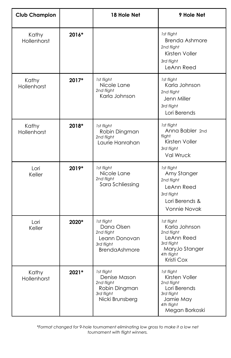| <b>Club Champion</b> |       | 18 Hole Net                                                                                   | 9 Hole Net                                                                                                            |
|----------------------|-------|-----------------------------------------------------------------------------------------------|-----------------------------------------------------------------------------------------------------------------------|
| Kathy<br>Hollenhorst | 2016* |                                                                                               | 1st flight<br><b>Brenda Ashmore</b><br>2nd flight<br>Kirsten Voller<br>3rd flight<br>LeAnn Reed                       |
| Kathy<br>Hollenhorst | 2017* | 1st flight<br>Nicole Lane<br>2nd flight<br>Karla Johnson                                      | 1st flight<br>Karla Johnson<br>2nd flight<br>Jenn Miller<br>3rd flight<br>Lori Berends                                |
| Kathy<br>Hollenhorst | 2018* | 1st flight<br>Robin Dingman<br>2nd flight<br>Laurie Hanrahan                                  | 1st flight<br>Anna Babler 2nd<br>flight<br>Kirsten Voller<br>3rd flight<br><b>Val Wruck</b>                           |
| Lori<br>Keller       | 2019* | 1st flight<br>Nicole Lane<br>2nd flight<br>Sara Schliessing                                   | 1st flight<br>Amy Stanger<br>2nd flight<br>LeAnn Reed<br>3rd flight<br>Lori Berends &<br>Vonnie Novak                 |
| Lori<br>Keller       | 2020* | 1st flight<br>Dana Olsen<br>2nd flight<br>Leann Donovan<br>3rd flight<br><b>BrendaAshmore</b> | 1st flight<br>Karla Johnson<br>2nd flight<br>LeAnn Reed<br>3rd flight<br>MaryJo Stanger<br>4th flight<br>Kristi Cox   |
| Kathy<br>Hollenhorst | 2021* | 1st flight<br>Denise Mason<br>2nd flight<br>Robin Dingman<br>3rd flight<br>Nicki Brunsberg    | 1st flight<br>Kirsten Voller<br>2nd flight<br>Lori Berends<br>3rd flight<br>Jamie May<br>4th flight<br>Megan Borkoski |

*\*Format changed for 9-hole tournament eliminating low gross to make it a low net tournament with flight winners.*